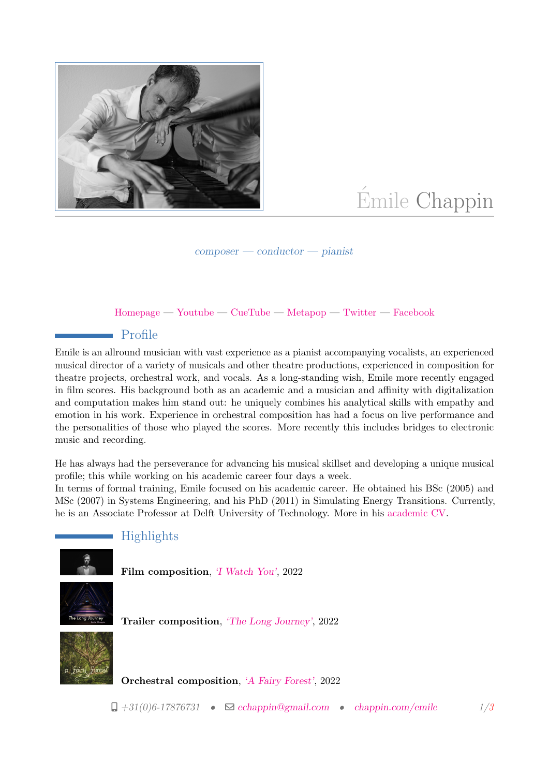

# Émile Chappin

composer — conductor — pianist

#### [Homepage](https://chappin.com/emile) — [Youtube](https://www.youtube.com/channel/UCW-TY_0YSWM8kC5fFstTQXA) — [CueTube](https://thecuetube.com/app/profile/echappin) — [Metapop](https://metapop.com/emile-chappin) — [Twitter](https://twitter.com/echappin) — [Facebook](https://www.facebook.com/echappin)

#### Profile

Emile is an allround musician with vast experience as a pianist accompanying vocalists, an experienced musical director of a variety of musicals and other theatre productions, experienced in composition for theatre projects, orchestral work, and vocals. As a long-standing wish, Emile more recently engaged in film scores. His background both as an academic and a musician and affinity with digitalization and computation makes him stand out: he uniquely combines his analytical skills with empathy and emotion in his work. Experience in orchestral composition has had a focus on live performance and the personalities of those who played the scores. More recently this includes bridges to electronic music and recording.

He has always had the perseverance for advancing his musical skillset and developing a unique musical profile; this while working on his academic career four days a week.

In terms of formal training, Emile focused on his academic career. He obtained his BSc (2005) and MSc (2007) in Systems Engineering, and his PhD (2011) in Simulating Energy Transitions. Currently, he is an Associate Professor at Delft University of Technology. More in his [academic CV.](http://chappin.com/emile/docs/ChappinEmile_CV.pdf)



### Highlights

Film composition, ['I Watch You'](https://www.youtube.com/watch?v=ClTjEOBPcWU), 2022

Trailer composition, ['The Long Journey'](https://metapop.com/emile-chappin/tracks/the-long-journey/224778), 2022

Orchestral composition, ['A Fairy Forest'](https://www.youtube.com/watch?v=VUfOLAHSF34), 2022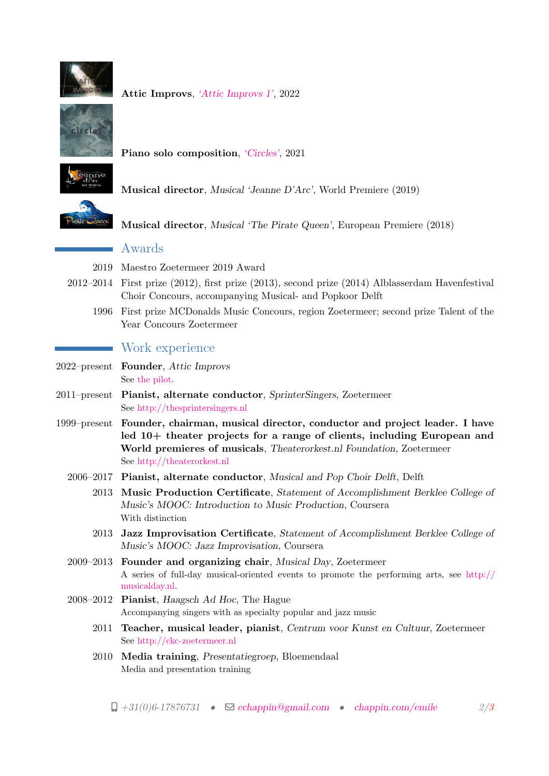

Attic Improvs, ['Attic Improvs 1'](https://www.youtube.com/watch?v=AMquZFTmtog), 2022



Piano solo composition, ['Circles'](https://www.youtube.com/watch?v=Oo4YGmCPH8A), 2021



Musical director, Musical 'Jeanne D'Arc', World Premiere (2019)

Musical director, Musical 'The Pirate Queen', European Premiere (2018)

#### Awards

- 2019 Maestro Zoetermeer 2019 Award
- 2012–2014 First prize (2012), first prize (2013), second prize (2014) Alblasserdam Havenfestival Choir Concours, accompanying Musical- and Popkoor Delft
	- 1996 First prize MCDonalds Music Concours, region Zoetermeer; second prize Talent of the Year Concours Zoetermeer

## Work experience

- <span id="page-1-0"></span>2022–present Founder, Attic Improvs See [the pilot.](https://www.youtube.com/watch?v=AMquZFTmtog)
- 2011–present Pianist, alternate conductor, SprinterSingers, Zoetermeer See <http://thesprintersingers.nl>
- 1999–present Founder, chairman, musical director, conductor and project leader. I have led 10+ theater projects for a range of clients, including European and World premieres of musicals, Theaterorkest.nl Foundation, Zoetermeer See <http://theaterorkest.nl>
	- 2006–2017 Pianist, alternate conductor, Musical and Pop Choir Delft, Delft
		- 2013 Music Production Certificate, Statement of Accomplishment Berklee College of Music's MOOC: Introduction to Music Production, Coursera With distinction
		- 2013 Jazz Improvisation Certificate, Statement of Accomplishment Berklee College of Music's MOOC: Jazz Improvisation, Coursera
	- 2009–2013 Founder and organizing chair, Musical Day, Zoetermeer A series of full-day musical-oriented events to promote the performing arts, see [http://](http://musicalday.nl) [musicalday.nl.](http://musicalday.nl)
	- 2008–2012 Pianist, Haagsch Ad Hoc, The Hague Accompanying singers with as specialty popular and jazz music
		- 2011 Teacher, musical leader, pianist, Centrum voor Kunst en Cultuur, Zoetermeer See <http://ckc-zoetermeer.nl>
		- 2010 Media training, Presentatiegroep, Bloemendaal Media and presentation training